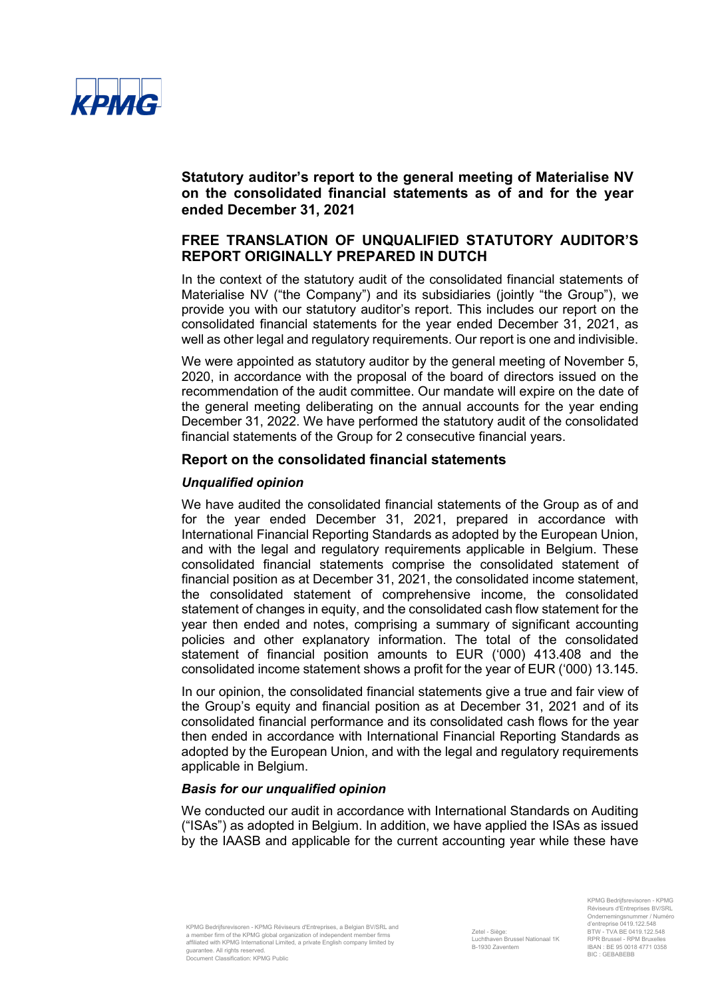

# **FREE TRANSLATION OF UNQUALIFIED STATUTORY AUDITOR'S REPORT ORIGINALLY PREPARED IN DUTCH**

In the context of the statutory audit of the consolidated financial statements of Materialise NV ("the Company") and its subsidiaries (jointly "the Group"), we provide you with our statutory auditor's report. This includes our report on the consolidated financial statements for the year ended December 31, 2021, as well as other legal and regulatory requirements. Our report is one and indivisible.

We were appointed as statutory auditor by the general meeting of November 5, 2020, in accordance with the proposal of the board of directors issued on the recommendation of the audit committee. Our mandate will expire on the date of the general meeting deliberating on the annual accounts for the year ending December 31, 2022. We have performed the statutory audit of the consolidated financial statements of the Group for 2 consecutive financial years.

# **Report on the consolidated financial statements**

# *Unqualified opinion*

We have audited the consolidated financial statements of the Group as of and for the year ended December 31, 2021, prepared in accordance with International Financial Reporting Standards as adopted by the European Union, and with the legal and regulatory requirements applicable in Belgium. These consolidated financial statements comprise the consolidated statement of financial position as at December 31, 2021, the consolidated income statement, the consolidated statement of comprehensive income, the consolidated statement of changes in equity, and the consolidated cash flow statement for the year then ended and notes, comprising a summary of significant accounting policies and other explanatory information. The total of the consolidated statement of financial position amounts to EUR ('000) 413.408 and the consolidated income statement shows a profit for the year of EUR ('000) 13.145.

In our opinion, the consolidated financial statements give a true and fair view of the Group's equity and financial position as at December 31, 2021 and of its consolidated financial performance and its consolidated cash flows for the year then ended in accordance with International Financial Reporting Standards as adopted by the European Union, and with the legal and regulatory requirements applicable in Belgium.

# *Basis for our unqualified opinion*

We conducted our audit in accordance with International Standards on Auditing ("ISAs") as adopted in Belgium. In addition, we have applied the ISAs as issued by the IAASB and applicable for the current accounting year while these have

KPMG Bedrijfsrevisoren - KPMG Réviseurs d'Entreprises BV/SRL Ondernemingsnummer / Numéro d'entreprise 0419.122.548 BTW - TVA BE 0419.122.548 RPR Brussel - RPM Bruxelles IBAN : BE 95 0018 4771 0358 BIC : GEBABEBB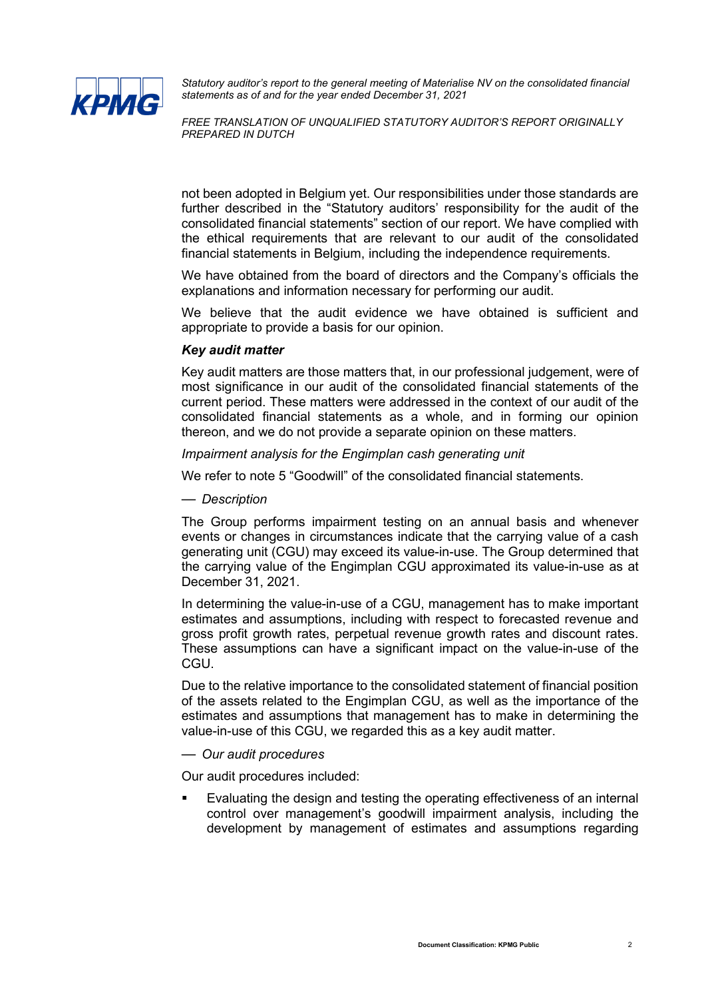

*FREE TRANSLATION OF UNQUALIFIED STATUTORY AUDITOR'S REPORT ORIGINALLY PREPARED IN DUTCH* 

not been adopted in Belgium yet. Our responsibilities under those standards are further described in the "Statutory auditors' responsibility for the audit of the consolidated financial statements" section of our report. We have complied with the ethical requirements that are relevant to our audit of the consolidated financial statements in Belgium, including the independence requirements.

We have obtained from the board of directors and the Company's officials the explanations and information necessary for performing our audit.

We believe that the audit evidence we have obtained is sufficient and appropriate to provide a basis for our opinion.

### *Key audit matter*

Key audit matters are those matters that, in our professional judgement, were of most significance in our audit of the consolidated financial statements of the current period. These matters were addressed in the context of our audit of the consolidated financial statements as a whole, and in forming our opinion thereon, and we do not provide a separate opinion on these matters.

#### *Impairment analysis for the Engimplan cash generating unit*

We refer to note 5 "Goodwill" of the consolidated financial statements.

#### — *Description*

The Group performs impairment testing on an annual basis and whenever events or changes in circumstances indicate that the carrying value of a cash generating unit (CGU) may exceed its value-in-use. The Group determined that the carrying value of the Engimplan CGU approximated its value-in-use as at December 31, 2021.

In determining the value-in-use of a CGU, management has to make important estimates and assumptions, including with respect to forecasted revenue and gross profit growth rates, perpetual revenue growth rates and discount rates. These assumptions can have a significant impact on the value-in-use of the **CGU.** 

Due to the relative importance to the consolidated statement of financial position of the assets related to the Engimplan CGU, as well as the importance of the estimates and assumptions that management has to make in determining the value-in-use of this CGU, we regarded this as a key audit matter.

#### — *Our audit procedures*

Our audit procedures included:

 Evaluating the design and testing the operating effectiveness of an internal control over management's goodwill impairment analysis, including the development by management of estimates and assumptions regarding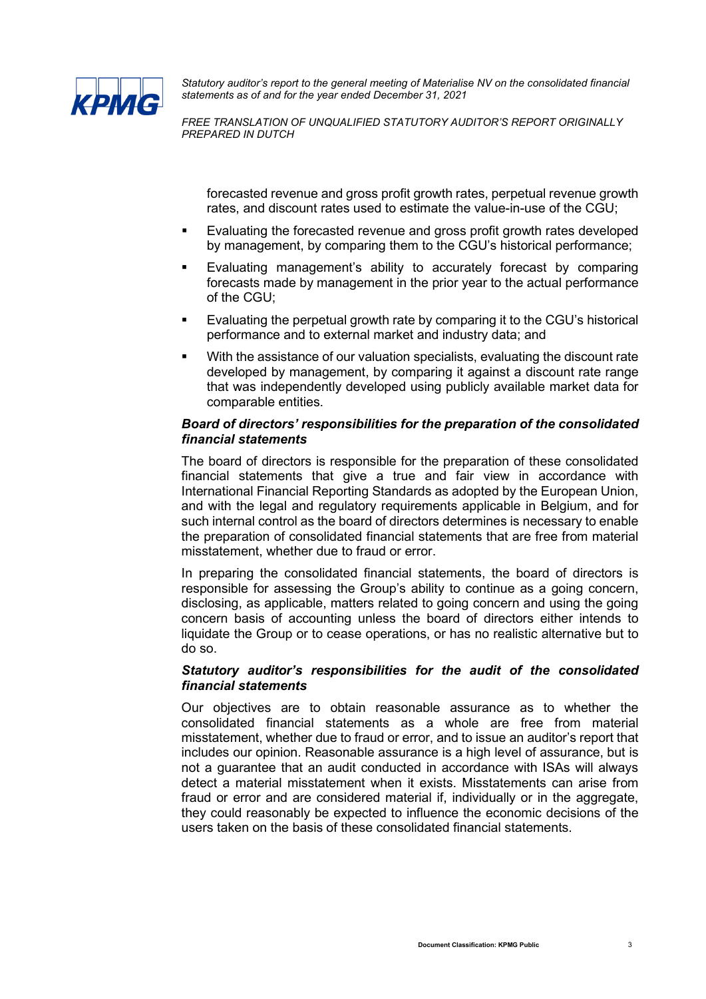

*FREE TRANSLATION OF UNQUALIFIED STATUTORY AUDITOR'S REPORT ORIGINALLY PREPARED IN DUTCH* 

forecasted revenue and gross profit growth rates, perpetual revenue growth rates, and discount rates used to estimate the value-in-use of the CGU;

- **Evaluating the forecasted revenue and gross profit growth rates developed** by management, by comparing them to the CGU's historical performance;
- **Evaluating management's ability to accurately forecast by comparing** forecasts made by management in the prior year to the actual performance of the CGU;
- Evaluating the perpetual growth rate by comparing it to the CGU's historical performance and to external market and industry data; and
- With the assistance of our valuation specialists, evaluating the discount rate developed by management, by comparing it against a discount rate range that was independently developed using publicly available market data for comparable entities.

# *Board of directors' responsibilities for the preparation of the consolidated financial statements*

The board of directors is responsible for the preparation of these consolidated financial statements that give a true and fair view in accordance with International Financial Reporting Standards as adopted by the European Union, and with the legal and regulatory requirements applicable in Belgium, and for such internal control as the board of directors determines is necessary to enable the preparation of consolidated financial statements that are free from material misstatement, whether due to fraud or error.

In preparing the consolidated financial statements, the board of directors is responsible for assessing the Group's ability to continue as a going concern, disclosing, as applicable, matters related to going concern and using the going concern basis of accounting unless the board of directors either intends to liquidate the Group or to cease operations, or has no realistic alternative but to do so.

# *Statutory auditor's responsibilities for the audit of the consolidated financial statements*

Our objectives are to obtain reasonable assurance as to whether the consolidated financial statements as a whole are free from material misstatement, whether due to fraud or error, and to issue an auditor's report that includes our opinion. Reasonable assurance is a high level of assurance, but is not a guarantee that an audit conducted in accordance with ISAs will always detect a material misstatement when it exists. Misstatements can arise from fraud or error and are considered material if, individually or in the aggregate, they could reasonably be expected to influence the economic decisions of the users taken on the basis of these consolidated financial statements.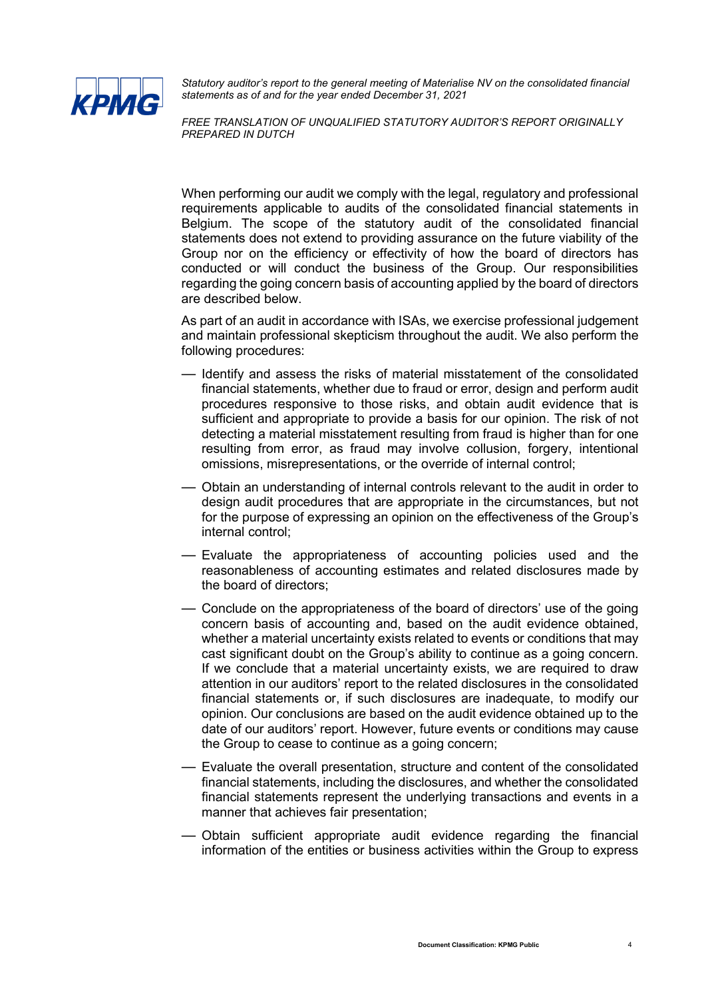

*FREE TRANSLATION OF UNQUALIFIED STATUTORY AUDITOR'S REPORT ORIGINALLY PREPARED IN DUTCH* 

When performing our audit we comply with the legal, regulatory and professional requirements applicable to audits of the consolidated financial statements in Belgium. The scope of the statutory audit of the consolidated financial statements does not extend to providing assurance on the future viability of the Group nor on the efficiency or effectivity of how the board of directors has conducted or will conduct the business of the Group. Our responsibilities regarding the going concern basis of accounting applied by the board of directors are described below.

As part of an audit in accordance with ISAs, we exercise professional judgement and maintain professional skepticism throughout the audit. We also perform the following procedures:

- Identify and assess the risks of material misstatement of the consolidated financial statements, whether due to fraud or error, design and perform audit procedures responsive to those risks, and obtain audit evidence that is sufficient and appropriate to provide a basis for our opinion. The risk of not detecting a material misstatement resulting from fraud is higher than for one resulting from error, as fraud may involve collusion, forgery, intentional omissions, misrepresentations, or the override of internal control;
- Obtain an understanding of internal controls relevant to the audit in order to design audit procedures that are appropriate in the circumstances, but not for the purpose of expressing an opinion on the effectiveness of the Group's internal control;
- Evaluate the appropriateness of accounting policies used and the reasonableness of accounting estimates and related disclosures made by the board of directors;
- Conclude on the appropriateness of the board of directors' use of the going concern basis of accounting and, based on the audit evidence obtained, whether a material uncertainty exists related to events or conditions that may cast significant doubt on the Group's ability to continue as a going concern. If we conclude that a material uncertainty exists, we are required to draw attention in our auditors' report to the related disclosures in the consolidated financial statements or, if such disclosures are inadequate, to modify our opinion. Our conclusions are based on the audit evidence obtained up to the date of our auditors' report. However, future events or conditions may cause the Group to cease to continue as a going concern;
- Evaluate the overall presentation, structure and content of the consolidated financial statements, including the disclosures, and whether the consolidated financial statements represent the underlying transactions and events in a manner that achieves fair presentation;
- Obtain sufficient appropriate audit evidence regarding the financial information of the entities or business activities within the Group to express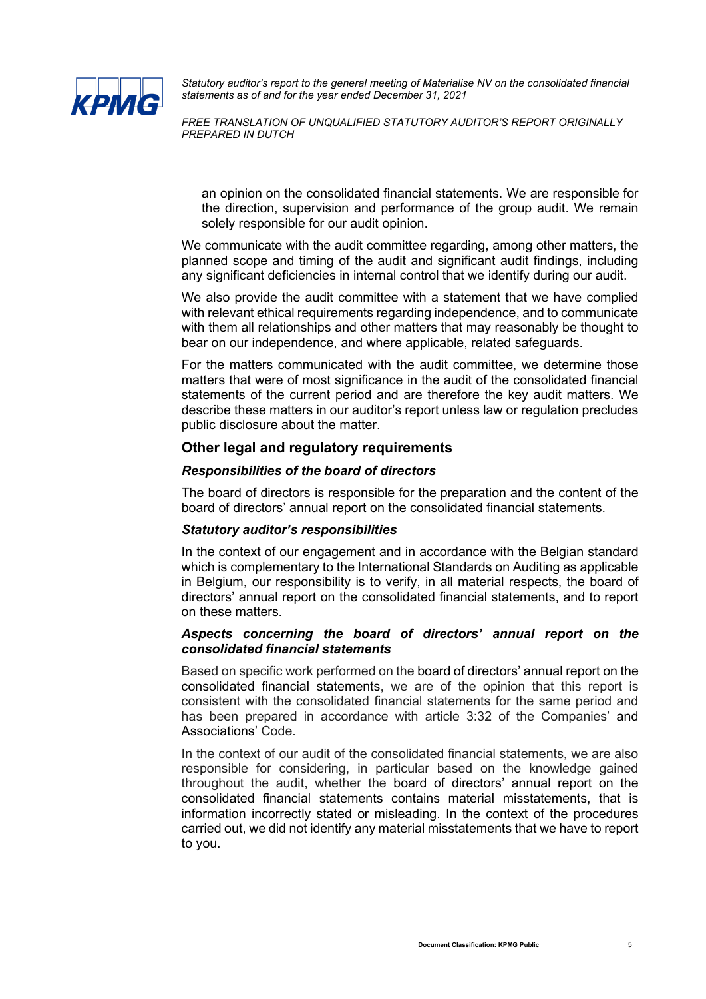

*FREE TRANSLATION OF UNQUALIFIED STATUTORY AUDITOR'S REPORT ORIGINALLY PREPARED IN DUTCH* 

an opinion on the consolidated financial statements. We are responsible for the direction, supervision and performance of the group audit. We remain solely responsible for our audit opinion.

We communicate with the audit committee regarding, among other matters, the planned scope and timing of the audit and significant audit findings, including any significant deficiencies in internal control that we identify during our audit.

We also provide the audit committee with a statement that we have complied with relevant ethical requirements regarding independence, and to communicate with them all relationships and other matters that may reasonably be thought to bear on our independence, and where applicable, related safeguards.

For the matters communicated with the audit committee, we determine those matters that were of most significance in the audit of the consolidated financial statements of the current period and are therefore the key audit matters. We describe these matters in our auditor's report unless law or regulation precludes public disclosure about the matter.

# **Other legal and regulatory requirements**

### *Responsibilities of the board of directors*

The board of directors is responsible for the preparation and the content of the board of directors' annual report on the consolidated financial statements.

### *Statutory auditor's responsibilities*

In the context of our engagement and in accordance with the Belgian standard which is complementary to the International Standards on Auditing as applicable in Belgium, our responsibility is to verify, in all material respects, the board of directors' annual report on the consolidated financial statements, and to report on these matters.

### *Aspects concerning the board of directors' annual report on the consolidated financial statements*

Based on specific work performed on the board of directors' annual report on the consolidated financial statements, we are of the opinion that this report is consistent with the consolidated financial statements for the same period and has been prepared in accordance with article 3:32 of the Companies' and Associations' Code.

In the context of our audit of the consolidated financial statements, we are also responsible for considering, in particular based on the knowledge gained throughout the audit, whether the board of directors' annual report on the consolidated financial statements contains material misstatements, that is information incorrectly stated or misleading. In the context of the procedures carried out, we did not identify any material misstatements that we have to report to you.